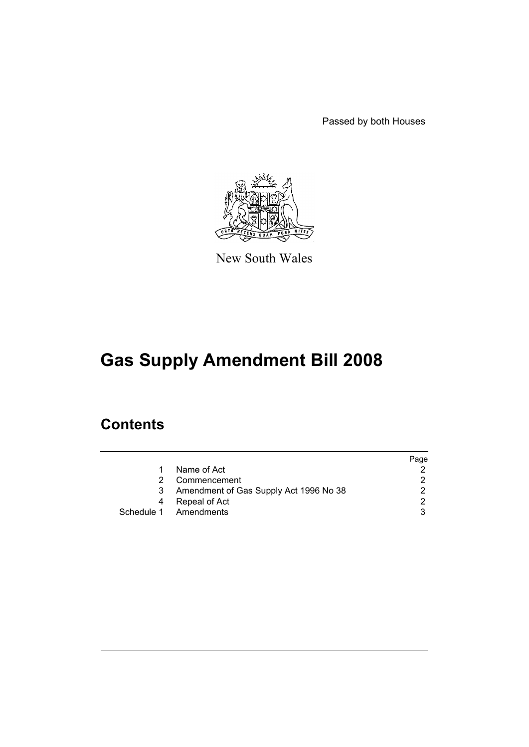Passed by both Houses



New South Wales

# **Gas Supply Amendment Bill 2008**

## **Contents**

|   |                                          | Page |
|---|------------------------------------------|------|
| 1 | Name of Act                              |      |
|   | Commencement                             |      |
|   | 3 Amendment of Gas Supply Act 1996 No 38 |      |
| 4 | Repeal of Act                            | ົ    |
|   | Schedule 1 Amendments                    |      |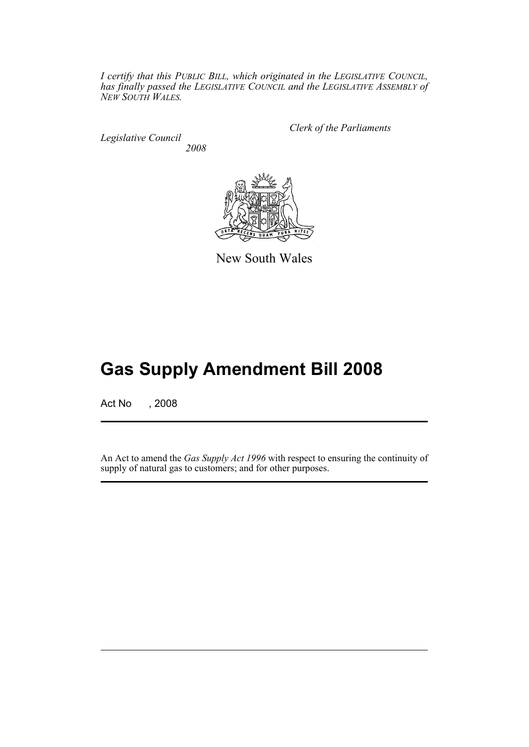*I certify that this PUBLIC BILL, which originated in the LEGISLATIVE COUNCIL, has finally passed the LEGISLATIVE COUNCIL and the LEGISLATIVE ASSEMBLY of NEW SOUTH WALES.*

*Legislative Council 2008* *Clerk of the Parliaments*



New South Wales

## **Gas Supply Amendment Bill 2008**

Act No , 2008

An Act to amend the *Gas Supply Act 1996* with respect to ensuring the continuity of supply of natural gas to customers; and for other purposes.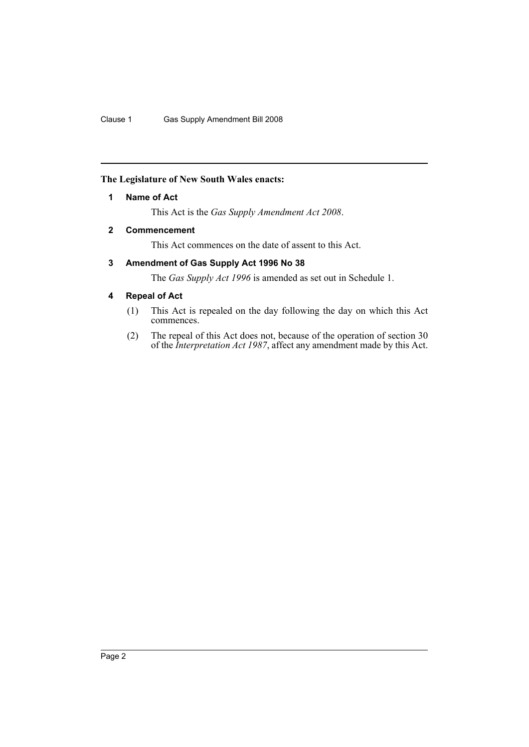#### <span id="page-2-0"></span>**The Legislature of New South Wales enacts:**

#### **1 Name of Act**

This Act is the *Gas Supply Amendment Act 2008*.

### <span id="page-2-1"></span>**2 Commencement**

This Act commences on the date of assent to this Act.

### <span id="page-2-2"></span>**3 Amendment of Gas Supply Act 1996 No 38**

The *Gas Supply Act 1996* is amended as set out in Schedule 1.

#### <span id="page-2-3"></span>**4 Repeal of Act**

- (1) This Act is repealed on the day following the day on which this Act commences.
- (2) The repeal of this Act does not, because of the operation of section 30 of the *Interpretation Act 1987*, affect any amendment made by this Act.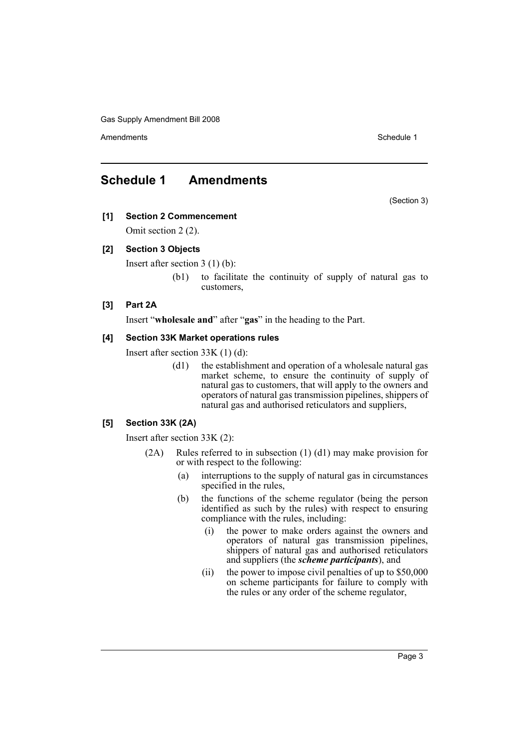Amendments **Amendments** Schedule 1

## <span id="page-3-0"></span>**Schedule 1 Amendments**

(Section 3)

## **[1] Section 2 Commencement**

Omit section 2 (2).

#### **[2] Section 3 Objects**

Insert after section 3 (1) (b):

(b1) to facilitate the continuity of supply of natural gas to customers,

#### **[3] Part 2A**

Insert "**wholesale and**" after "**gas**" in the heading to the Part.

#### **[4] Section 33K Market operations rules**

Insert after section 33K (1) (d):

(d1) the establishment and operation of a wholesale natural gas market scheme, to ensure the continuity of supply of natural gas to customers, that will apply to the owners and operators of natural gas transmission pipelines, shippers of natural gas and authorised reticulators and suppliers,

#### **[5] Section 33K (2A)**

Insert after section 33K (2):

- (2A) Rules referred to in subsection (1) (d1) may make provision for or with respect to the following:
	- (a) interruptions to the supply of natural gas in circumstances specified in the rules,
	- (b) the functions of the scheme regulator (being the person identified as such by the rules) with respect to ensuring compliance with the rules, including:
		- (i) the power to make orders against the owners and operators of natural gas transmission pipelines, shippers of natural gas and authorised reticulators and suppliers (the *scheme participants*), and
		- (ii) the power to impose civil penalties of up to \$50,000 on scheme participants for failure to comply with the rules or any order of the scheme regulator,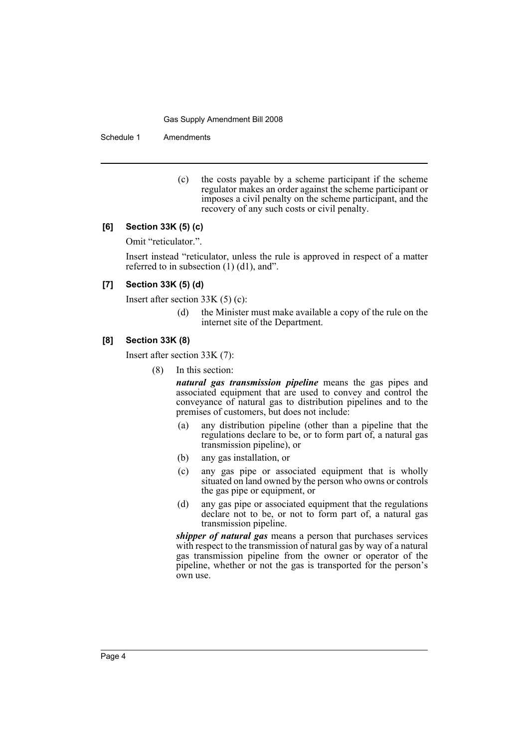Schedule 1 Amendments

(c) the costs payable by a scheme participant if the scheme regulator makes an order against the scheme participant or imposes a civil penalty on the scheme participant, and the recovery of any such costs or civil penalty.

#### **[6] Section 33K (5) (c)**

Omit "reticulator.".

Insert instead "reticulator, unless the rule is approved in respect of a matter referred to in subsection  $(1)$   $(d1)$ , and".

#### **[7] Section 33K (5) (d)**

Insert after section 33K (5) (c):

(d) the Minister must make available a copy of the rule on the internet site of the Department.

#### **[8] Section 33K (8)**

Insert after section 33K (7):

(8) In this section:

*natural gas transmission pipeline* means the gas pipes and associated equipment that are used to convey and control the conveyance of natural gas to distribution pipelines and to the premises of customers, but does not include:

- (a) any distribution pipeline (other than a pipeline that the regulations declare to be, or to form part of, a natural gas transmission pipeline), or
- (b) any gas installation, or
- (c) any gas pipe or associated equipment that is wholly situated on land owned by the person who owns or controls the gas pipe or equipment, or
- (d) any gas pipe or associated equipment that the regulations declare not to be, or not to form part of, a natural gas transmission pipeline.

*shipper of natural gas* means a person that purchases services with respect to the transmission of natural gas by way of a natural gas transmission pipeline from the owner or operator of the pipeline, whether or not the gas is transported for the person's own use.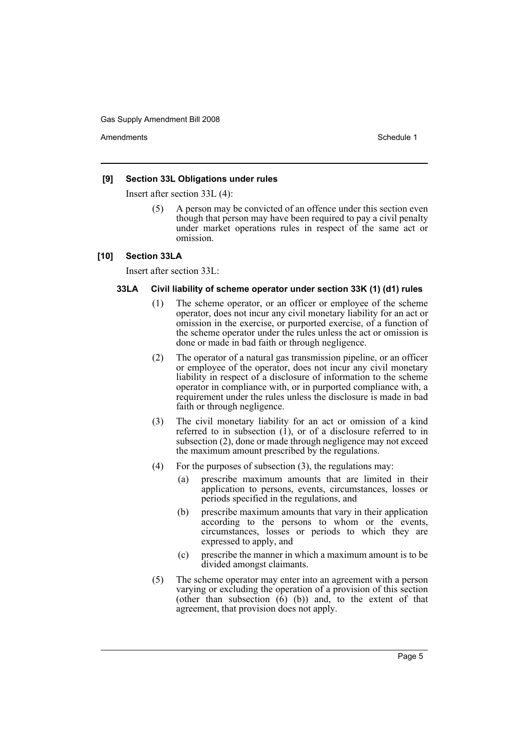Amendments **Amendments** Schedule 1

#### **[9] Section 33L Obligations under rules**

Insert after section 33L (4):

(5) A person may be convicted of an offence under this section even though that person may have been required to pay a civil penalty under market operations rules in respect of the same act or omission.

#### **[10] Section 33LA**

Insert after section 33L:

#### **33LA Civil liability of scheme operator under section 33K (1) (d1) rules**

- (1) The scheme operator, or an officer or employee of the scheme operator, does not incur any civil monetary liability for an act or omission in the exercise, or purported exercise, of a function of the scheme operator under the rules unless the act or omission is done or made in bad faith or through negligence.
- (2) The operator of a natural gas transmission pipeline, or an officer or employee of the operator, does not incur any civil monetary liability in respect of a disclosure of information to the scheme operator in compliance with, or in purported compliance with, a requirement under the rules unless the disclosure is made in bad faith or through negligence.
- (3) The civil monetary liability for an act or omission of a kind referred to in subsection  $(1)$ , or of a disclosure referred to in subsection (2), done or made through negligence may not exceed the maximum amount prescribed by the regulations.
- (4) For the purposes of subsection (3), the regulations may:
	- (a) prescribe maximum amounts that are limited in their application to persons, events, circumstances, losses or periods specified in the regulations, and
	- (b) prescribe maximum amounts that vary in their application according to the persons to whom or the events, circumstances, losses or periods to which they are expressed to apply, and
	- (c) prescribe the manner in which a maximum amount is to be divided amongst claimants.
- (5) The scheme operator may enter into an agreement with a person varying or excluding the operation of a provision of this section (other than subsection  $(\vec{6})$   $(b)$ ) and, to the extent of that agreement, that provision does not apply.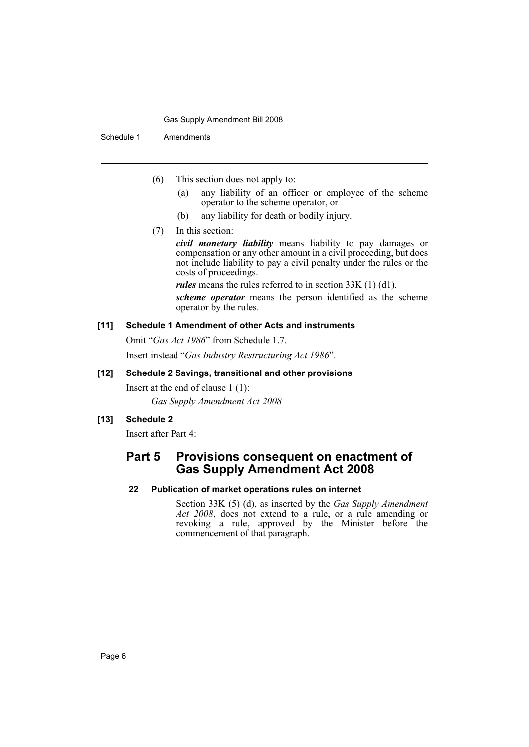Schedule 1 Amendments

- (6) This section does not apply to:
	- (a) any liability of an officer or employee of the scheme operator to the scheme operator, or
	- (b) any liability for death or bodily injury.
- (7) In this section:

*civil monetary liability* means liability to pay damages or compensation or any other amount in a civil proceeding, but does not include liability to pay a civil penalty under the rules or the costs of proceedings.

*rules* means the rules referred to in section 33K (1) (d1).

*scheme operator* means the person identified as the scheme operator by the rules.

#### **[11] Schedule 1 Amendment of other Acts and instruments**

Omit "*Gas Act 1986*" from Schedule 1.7.

Insert instead "*Gas Industry Restructuring Act 1986*".

#### **[12] Schedule 2 Savings, transitional and other provisions**

Insert at the end of clause 1 (1): *Gas Supply Amendment Act 2008*

#### **[13] Schedule 2**

Insert after Part 4:

## **Part 5 Provisions consequent on enactment of Gas Supply Amendment Act 2008**

#### **22 Publication of market operations rules on internet**

Section 33K (5) (d), as inserted by the *Gas Supply Amendment Act 2008*, does not extend to a rule, or a rule amending or revoking a rule, approved by the Minister before the commencement of that paragraph.